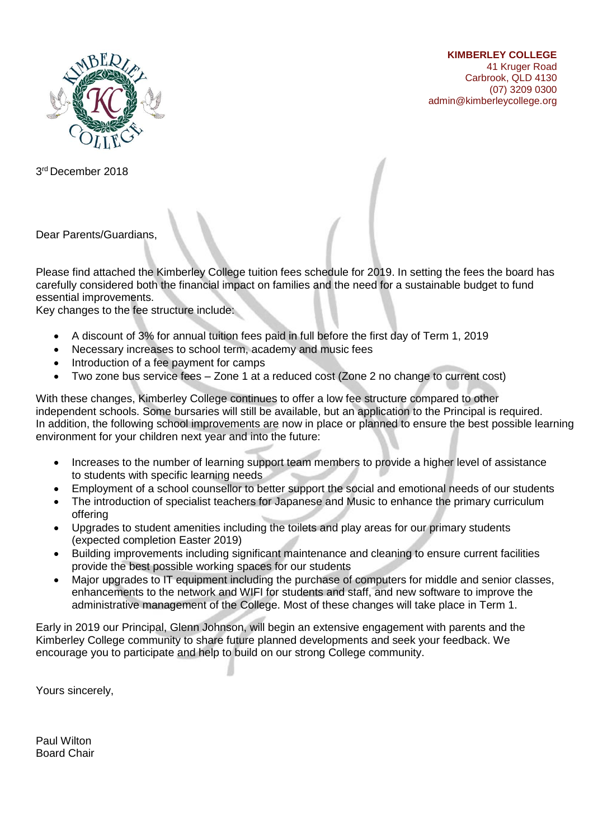

**KIMBERLEY COLLEGE** 41 Kruger Road Carbrook, QLD 4130 (07) 3209 0300 admin@kimberleycollege.org

3 rd December 2018

Dear Parents/Guardians,

Please find attached the Kimberley College tuition fees schedule for 2019. In setting the fees the board has carefully considered both the financial impact on families and the need for a sustainable budget to fund essential improvements.

Key changes to the fee structure include:

- A discount of 3% for annual tuition fees paid in full before the first day of Term 1, 2019
- Necessary increases to school term, academy and music fees
- Introduction of a fee payment for camps
- Two zone bus service fees Zone 1 at a reduced cost (Zone 2 no change to current cost)

With these changes, Kimberley College continues to offer a low fee structure compared to other independent schools. Some bursaries will still be available, but an application to the Principal is required. In addition, the following school improvements are now in place or planned to ensure the best possible learning environment for your children next year and into the future:

- Increases to the number of learning support team members to provide a higher level of assistance to students with specific learning needs
- Employment of a school counsellor to better support the social and emotional needs of our students
- The introduction of specialist teachers for Japanese and Music to enhance the primary curriculum offering
- Upgrades to student amenities including the toilets and play areas for our primary students (expected completion Easter 2019)
- Building improvements including significant maintenance and cleaning to ensure current facilities provide the best possible working spaces for our students
- Major upgrades to IT equipment including the purchase of computers for middle and senior classes, enhancements to the network and WIFI for students and staff, and new software to improve the administrative management of the College. Most of these changes will take place in Term 1.

Early in 2019 our Principal, Glenn Johnson, will begin an extensive engagement with parents and the Kimberley College community to share future planned developments and seek your feedback. We encourage you to participate and help to build on our strong College community.

Yours sincerely,

Paul Wilton Board Chair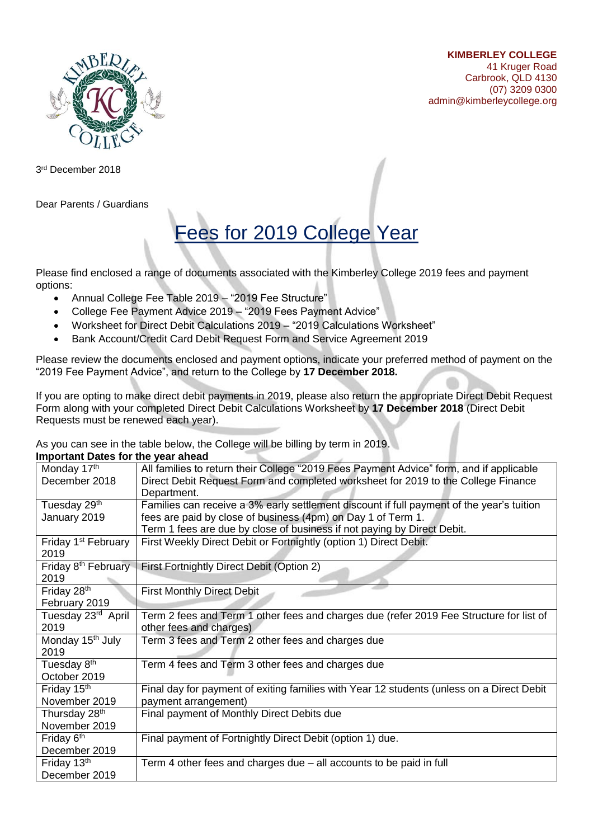



3 rd December 2018

Dear Parents / Guardians

# Fees for 2019 College Year

Please find enclosed a range of documents associated with the Kimberley College 2019 fees and payment options:

- Annual College Fee Table 2019 "2019 Fee Structure"
- College Fee Payment Advice 2019 "2019 Fees Payment Advice"
- Worksheet for Direct Debit Calculations 2019 "2019 Calculations Worksheet"
- Bank Account/Credit Card Debit Request Form and Service Agreement 2019

Please review the documents enclosed and payment options, indicate your preferred method of payment on the "2019 Fee Payment Advice", and return to the College by **17 December 2018.**

If you are opting to make direct debit payments in 2019, please also return the appropriate Direct Debit Request Form along with your completed Direct Debit Calculations Worksheet by **17 December 2018** (Direct Debit Requests must be renewed each year).

As you can see in the table below, the College will be billing by term in 2019.

| <b>Important Dates for the year ahead</b> |                                                                                           |
|-------------------------------------------|-------------------------------------------------------------------------------------------|
| Monday 17th                               | All families to return their College "2019 Fees Payment Advice" form, and if applicable   |
| December 2018                             | Direct Debit Request Form and completed worksheet for 2019 to the College Finance         |
|                                           | Department.                                                                               |
| Tuesday 29th                              | Families can receive a 3% early settlement discount if full payment of the year's tuition |
| January 2019                              | fees are paid by close of business (4pm) on Day 1 of Term 1.                              |
|                                           | Term 1 fees are due by close of business if not paying by Direct Debit.                   |
| Friday 1 <sup>st</sup> February           | First Weekly Direct Debit or Fortnightly (option 1) Direct Debit.                         |
| 2019                                      |                                                                                           |
| Friday 8 <sup>th</sup> February           | First Fortnightly Direct Debit (Option 2)                                                 |
| 2019                                      |                                                                                           |
| Friday 28th                               | <b>First Monthly Direct Debit</b>                                                         |
| February 2019                             |                                                                                           |
| Tuesday 23rd April                        | Term 2 fees and Term 1 other fees and charges due (refer 2019 Fee Structure for list of   |
| 2019                                      | other fees and charges)                                                                   |
| Monday 15 <sup>th</sup> July              | Term 3 fees and Term 2 other fees and charges due                                         |
| 2019                                      |                                                                                           |
| Tuesday 8 <sup>th</sup>                   | Term 4 fees and Term 3 other fees and charges due                                         |
| October 2019                              |                                                                                           |
| Friday 15 <sup>th</sup>                   | Final day for payment of exiting families with Year 12 students (unless on a Direct Debit |
| November 2019                             | payment arrangement)                                                                      |
| Thursday 28 <sup>th</sup>                 | Final payment of Monthly Direct Debits due                                                |
| November 2019                             |                                                                                           |
| Friday 6 <sup>th</sup>                    | Final payment of Fortnightly Direct Debit (option 1) due.                                 |
| December 2019                             |                                                                                           |
| Friday 13th                               | Term 4 other fees and charges due - all accounts to be paid in full                       |
| December 2019                             |                                                                                           |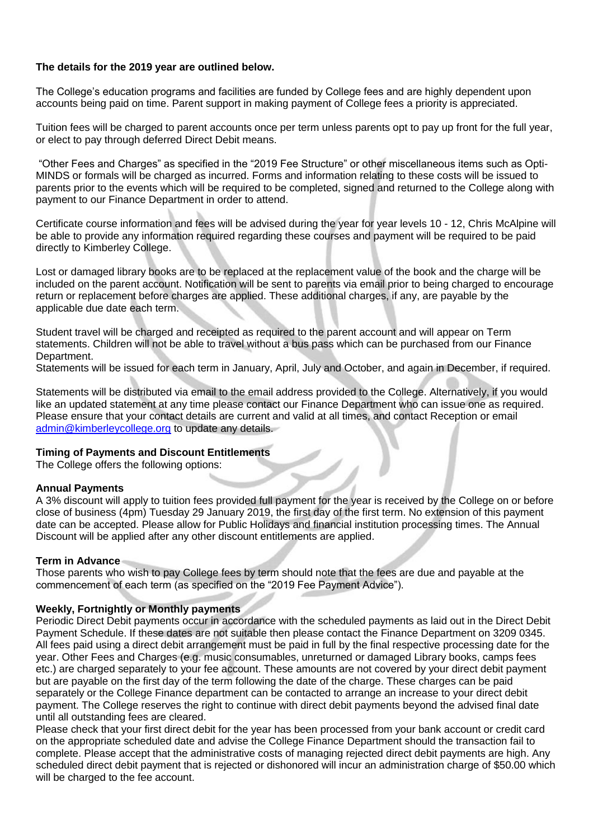# **The details for the 2019 year are outlined below.**

The College's education programs and facilities are funded by College fees and are highly dependent upon accounts being paid on time. Parent support in making payment of College fees a priority is appreciated.

Tuition fees will be charged to parent accounts once per term unless parents opt to pay up front for the full year, or elect to pay through deferred Direct Debit means.

"Other Fees and Charges" as specified in the "2019 Fee Structure" or other miscellaneous items such as Opti-MINDS or formals will be charged as incurred. Forms and information relating to these costs will be issued to parents prior to the events which will be required to be completed, signed and returned to the College along with payment to our Finance Department in order to attend.

Certificate course information and fees will be advised during the year for year levels 10 - 12, Chris McAlpine will be able to provide any information required regarding these courses and payment will be required to be paid directly to Kimberley College.

Lost or damaged library books are to be replaced at the replacement value of the book and the charge will be included on the parent account. Notification will be sent to parents via email prior to being charged to encourage return or replacement before charges are applied. These additional charges, if any, are payable by the applicable due date each term.

Student travel will be charged and receipted as required to the parent account and will appear on Term statements. Children will not be able to travel without a bus pass which can be purchased from our Finance Department.

Statements will be issued for each term in January, April, July and October, and again in December, if required.

Statements will be distributed via email to the email address provided to the College. Alternatively, if you would like an updated statement at any time please contact our Finance Department who can issue one as required. Please ensure that your contact details are current and valid at all times, and contact Reception or email [admin@kimberleycollege.org](mailto:admin@kimberleycollege.org) to update any details.

# **Timing of Payments and Discount Entitlements**

The College offers the following options:

# **Annual Payments**

A 3% discount will apply to tuition fees provided full payment for the year is received by the College on or before close of business (4pm) Tuesday 29 January 2019, the first day of the first term. No extension of this payment date can be accepted. Please allow for Public Holidays and financial institution processing times. The Annual Discount will be applied after any other discount entitlements are applied.

# **Term in Advance**

Those parents who wish to pay College fees by term should note that the fees are due and payable at the commencement of each term (as specified on the "2019 Fee Payment Advice").

# **Weekly, Fortnightly or Monthly payments**

Periodic Direct Debit payments occur in accordance with the scheduled payments as laid out in the Direct Debit Payment Schedule. If these dates are not suitable then please contact the Finance Department on 3209 0345. All fees paid using a direct debit arrangement must be paid in full by the final respective processing date for the year. Other Fees and Charges (e.g. music consumables, unreturned or damaged Library books, camps fees etc.) are charged separately to your fee account. These amounts are not covered by your direct debit payment but are payable on the first day of the term following the date of the charge. These charges can be paid separately or the College Finance department can be contacted to arrange an increase to your direct debit payment. The College reserves the right to continue with direct debit payments beyond the advised final date until all outstanding fees are cleared.

Please check that your first direct debit for the year has been processed from your bank account or credit card on the appropriate scheduled date and advise the College Finance Department should the transaction fail to complete. Please accept that the administrative costs of managing rejected direct debit payments are high. Any scheduled direct debit payment that is rejected or dishonored will incur an administration charge of \$50.00 which will be charged to the fee account.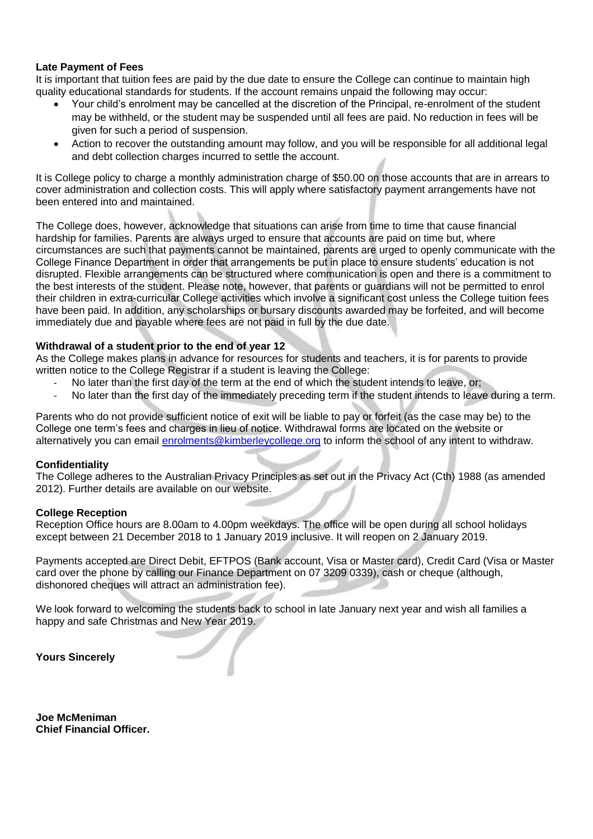# **Late Payment of Fees**

It is important that tuition fees are paid by the due date to ensure the College can continue to maintain high quality educational standards for students. If the account remains unpaid the following may occur:

- Your child's enrolment may be cancelled at the discretion of the Principal, re-enrolment of the student may be withheld, or the student may be suspended until all fees are paid. No reduction in fees will be given for such a period of suspension.
- Action to recover the outstanding amount may follow, and you will be responsible for all additional legal and debt collection charges incurred to settle the account.

It is College policy to charge a monthly administration charge of \$50.00 on those accounts that are in arrears to cover administration and collection costs. This will apply where satisfactory payment arrangements have not been entered into and maintained.

The College does, however, acknowledge that situations can arise from time to time that cause financial hardship for families. Parents are always urged to ensure that accounts are paid on time but, where circumstances are such that payments cannot be maintained, parents are urged to openly communicate with the College Finance Department in order that arrangements be put in place to ensure students' education is not disrupted. Flexible arrangements can be structured where communication is open and there is a commitment to the best interests of the student. Please note, however, that parents or guardians will not be permitted to enrol their children in extra-curricular College activities which involve a significant cost unless the College tuition fees have been paid. In addition, any scholarships or bursary discounts awarded may be forfeited, and will become immediately due and payable where fees are not paid in full by the due date.

# **Withdrawal of a student prior to the end of year 12**

As the College makes plans in advance for resources for students and teachers, it is for parents to provide written notice to the College Registrar if a student is leaving the College:

- No later than the first day of the term at the end of which the student intends to leave, or;
- No later than the first day of the immediately preceding term if the student intends to leave during a term.

Parents who do not provide sufficient notice of exit will be liable to pay or forfeit (as the case may be) to the College one term's fees and charges in lieu of notice. Withdrawal forms are located on the website or alternatively you can email [enrolments@kimberleycollege.org](mailto:enrolments@kimberleycollege.org) to inform the school of any intent to withdraw.

# **Confidentiality**

The College adheres to the Australian Privacy Principles as set out in the Privacy Act (Cth) 1988 (as amended 2012). Further details are available on our website.

# **College Reception**

Reception Office hours are 8.00am to 4.00pm weekdays. The office will be open during all school holidays except between 21 December 2018 to 1 January 2019 inclusive. It will reopen on 2 January 2019.

Payments accepted are Direct Debit, EFTPOS (Bank account, Visa or Master card), Credit Card (Visa or Master card over the phone by calling our Finance Department on 07 3209 0339), cash or cheque (although, dishonored cheques will attract an administration fee).

We look forward to welcoming the students back to school in late January next year and wish all families a happy and safe Christmas and New Year 2019.

d

**Yours Sincerely**

**Joe McMeniman Chief Financial Officer.**